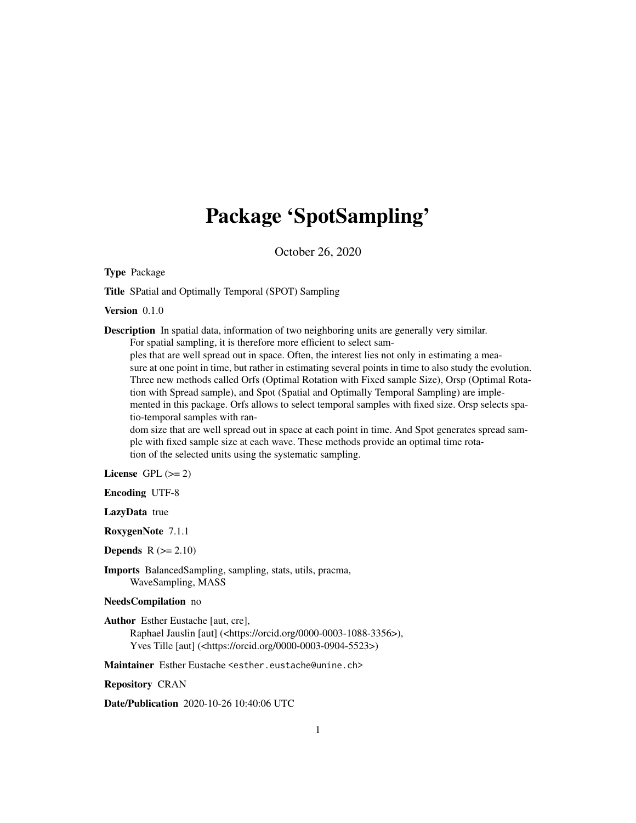## Package 'SpotSampling'

October 26, 2020

<span id="page-0-0"></span>Type Package

Title SPatial and Optimally Temporal (SPOT) Sampling

Version 0.1.0

Description In spatial data, information of two neighboring units are generally very similar.

For spatial sampling, it is therefore more efficient to select sam-

ples that are well spread out in space. Often, the interest lies not only in estimating a measure at one point in time, but rather in estimating several points in time to also study the evolution. Three new methods called Orfs (Optimal Rotation with Fixed sample Size), Orsp (Optimal Rotation with Spread sample), and Spot (Spatial and Optimally Temporal Sampling) are implemented in this package. Orfs allows to select temporal samples with fixed size. Orsp selects spatio-temporal samples with ran-

dom size that are well spread out in space at each point in time. And Spot generates spread sample with fixed sample size at each wave. These methods provide an optimal time rotation of the selected units using the systematic sampling.

License GPL  $(>= 2)$ 

Encoding UTF-8

LazyData true

RoxygenNote 7.1.1

**Depends**  $R$  ( $>= 2.10$ )

Imports BalancedSampling, sampling, stats, utils, pracma, WaveSampling, MASS

#### NeedsCompilation no

Author Esther Eustache [aut, cre], Raphael Jauslin [aut] (<https://orcid.org/0000-0003-1088-3356>), Yves Tille [aut] (<https://orcid.org/0000-0003-0904-5523>)

Maintainer Esther Eustache <esther.eustache@unine.ch>

Repository CRAN

Date/Publication 2020-10-26 10:40:06 UTC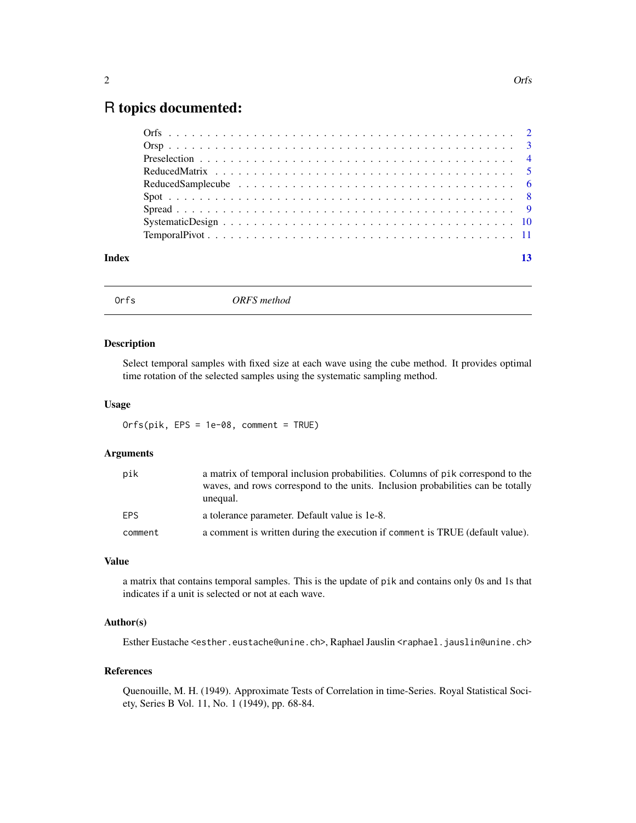### <span id="page-1-0"></span>R topics documented:

|       | Systematic Design $\ldots \ldots \ldots \ldots \ldots \ldots \ldots \ldots \ldots \ldots \ldots \ldots \ldots$ |    |
|-------|----------------------------------------------------------------------------------------------------------------|----|
|       |                                                                                                                |    |
|       |                                                                                                                |    |
| Index |                                                                                                                | 13 |

Orfs *ORFS method*

#### Description

Select temporal samples with fixed size at each wave using the cube method. It provides optimal time rotation of the selected samples using the systematic sampling method.

#### Usage

Orfs(pik, EPS = 1e-08, comment = TRUE)

#### Arguments

| pik        | a matrix of temporal inclusion probabilities. Columns of pik correspond to the<br>waves, and rows correspond to the units. Inclusion probabilities can be totally<br>unequal. |
|------------|-------------------------------------------------------------------------------------------------------------------------------------------------------------------------------|
| <b>FPS</b> | a tolerance parameter. Default value is 1e-8.                                                                                                                                 |
| comment    | a comment is written during the execution if comment is TRUE (default value).                                                                                                 |

#### Value

a matrix that contains temporal samples. This is the update of pik and contains only 0s and 1s that indicates if a unit is selected or not at each wave.

#### Author(s)

Esther Eustache <esther.eustache@unine.ch>, Raphael Jauslin <raphael.jauslin@unine.ch>

#### References

Quenouille, M. H. (1949). Approximate Tests of Correlation in time-Series. Royal Statistical Society, Series B Vol. 11, No. 1 (1949), pp. 68-84.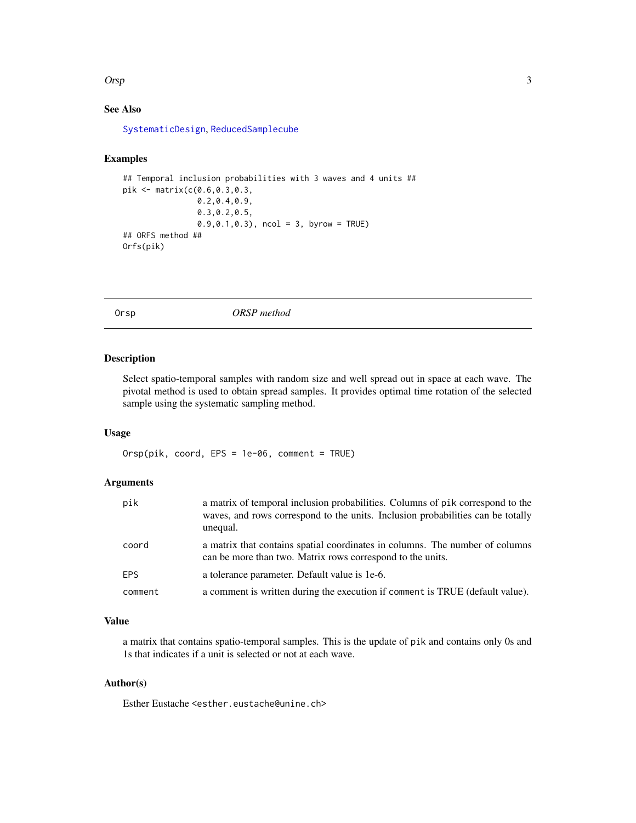#### <span id="page-2-0"></span> $\alpha$  3

#### See Also

[SystematicDesign](#page-9-1), [ReducedSamplecube](#page-5-1)

#### Examples

```
## Temporal inclusion probabilities with 3 waves and 4 units ##
pik <- matrix(c(0.6,0.3,0.3,
                0.2,0.4,0.9,
                0.3,0.2,0.5,
                0.9, 0.1, 0.3, ncol = 3, byrow = TRUE)
## ORFS method ##
Orfs(pik)
```
Orsp *ORSP method*

#### **Description**

Select spatio-temporal samples with random size and well spread out in space at each wave. The pivotal method is used to obtain spread samples. It provides optimal time rotation of the selected sample using the systematic sampling method.

#### Usage

Orsp(pik, coord, EPS = 1e-06, comment = TRUE)

#### Arguments

| pik        | a matrix of temporal inclusion probabilities. Columns of pik correspond to the<br>waves, and rows correspond to the units. Inclusion probabilities can be totally<br>unequal. |
|------------|-------------------------------------------------------------------------------------------------------------------------------------------------------------------------------|
| coord      | a matrix that contains spatial coordinates in columns. The number of columns<br>can be more than two. Matrix rows correspond to the units.                                    |
| <b>EPS</b> | a tolerance parameter. Default value is 1e-6.                                                                                                                                 |
| comment    | a comment is written during the execution if comment is TRUE (default value).                                                                                                 |

#### Value

a matrix that contains spatio-temporal samples. This is the update of pik and contains only 0s and 1s that indicates if a unit is selected or not at each wave.

#### Author(s)

Esther Eustache <esther.eustache@unine.ch>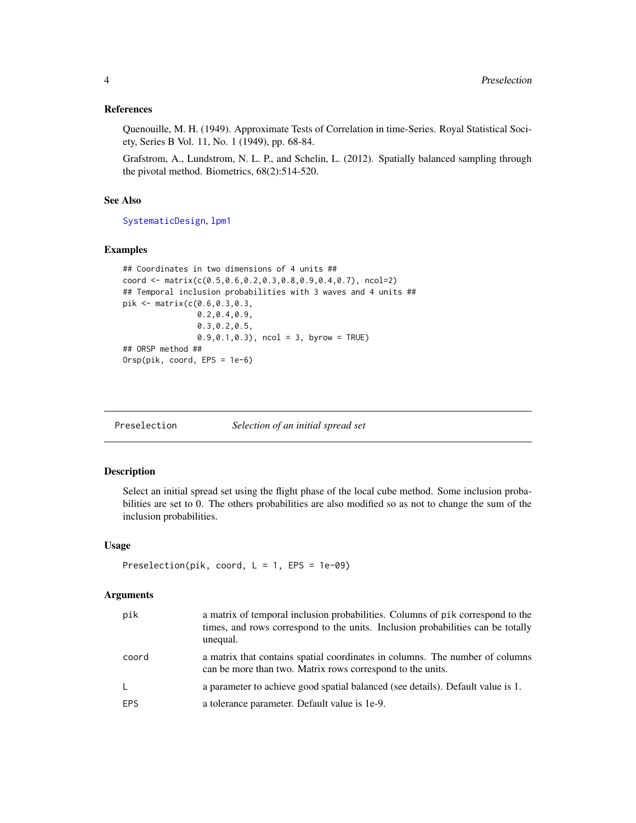#### <span id="page-3-0"></span>References

Quenouille, M. H. (1949). Approximate Tests of Correlation in time-Series. Royal Statistical Society, Series B Vol. 11, No. 1 (1949), pp. 68-84.

Grafstrom, A., Lundstrom, N. L. P., and Schelin, L. (2012). Spatially balanced sampling through the pivotal method. Biometrics, 68(2):514-520.

#### See Also

[SystematicDesign](#page-9-1), [lpm1](#page-0-0)

#### Examples

```
## Coordinates in two dimensions of 4 units ##
coord <- matrix(c(0.5,0.6,0.2,0.3,0.8,0.9,0.4,0.7), ncol=2)
## Temporal inclusion probabilities with 3 waves and 4 units ##
pik <- matrix(c(0.6,0.3,0.3,
                0.2,0.4,0.9,
                0.3,0.2,0.5,
                0.9, 0.1, 0.3, ncol = 3, byrow = TRUE)
## ORSP method ##
Orsp(pik, coord, EPS = 1e-6)
```
Preselection *Selection of an initial spread set*

#### Description

Select an initial spread set using the flight phase of the local cube method. Some inclusion probabilities are set to 0. The others probabilities are also modified so as not to change the sum of the inclusion probabilities.

#### Usage

```
Preselection(pik, coord, L = 1, EPS = 1e-09)
```
#### Arguments

| pik          | a matrix of temporal inclusion probabilities. Columns of pik correspond to the<br>times, and rows correspond to the units. Inclusion probabilities can be totally<br>unequal. |
|--------------|-------------------------------------------------------------------------------------------------------------------------------------------------------------------------------|
| coord        | a matrix that contains spatial coordinates in columns. The number of columns<br>can be more than two. Matrix rows correspond to the units.                                    |
| $\mathsf{L}$ | a parameter to achieve good spatial balanced (see details). Default value is 1.                                                                                               |
| EPS.         | a tolerance parameter. Default value is 1e-9.                                                                                                                                 |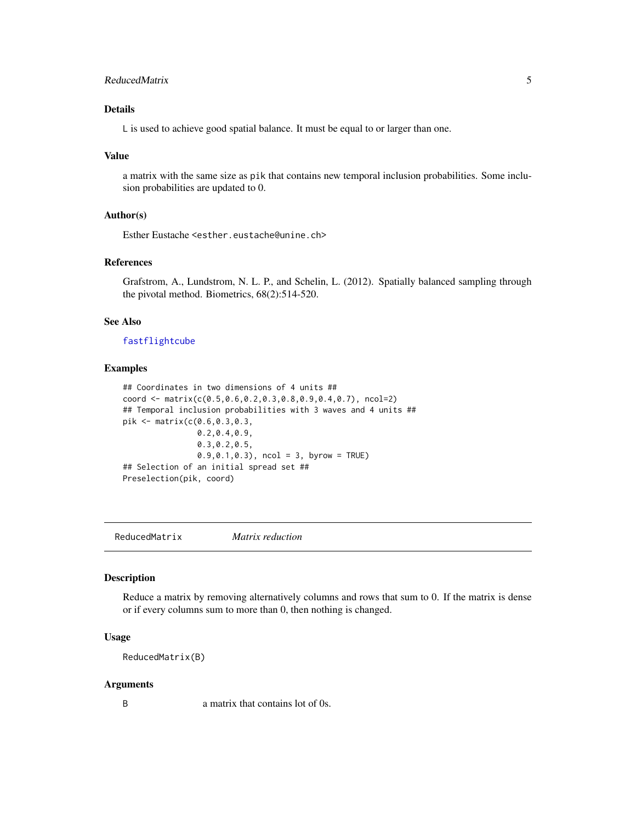#### <span id="page-4-0"></span>ReducedMatrix 5

#### Details

L is used to achieve good spatial balance. It must be equal to or larger than one.

#### Value

a matrix with the same size as pik that contains new temporal inclusion probabilities. Some inclusion probabilities are updated to 0.

#### Author(s)

Esther Eustache <esther.eustache@unine.ch>

#### References

Grafstrom, A., Lundstrom, N. L. P., and Schelin, L. (2012). Spatially balanced sampling through the pivotal method. Biometrics, 68(2):514-520.

#### See Also

#### [fastflightcube](#page-0-0)

#### Examples

```
## Coordinates in two dimensions of 4 units ##
coord <- matrix(c(0.5,0.6,0.2,0.3,0.8,0.9,0.4,0.7), ncol=2)
## Temporal inclusion probabilities with 3 waves and 4 units ##
pik <- matrix(c(0.6,0.3,0.3,
                0.2,0.4,0.9,
                0.3,0.2,0.5,
                0.9, 0.1, 0.3, ncol = 3, byrow = TRUE)
## Selection of an initial spread set ##
Preselection(pik, coord)
```
<span id="page-4-1"></span>ReducedMatrix *Matrix reduction*

#### Description

Reduce a matrix by removing alternatively columns and rows that sum to 0. If the matrix is dense or if every columns sum to more than 0, then nothing is changed.

#### Usage

ReducedMatrix(B)

#### Arguments

B a matrix that contains lot of 0s.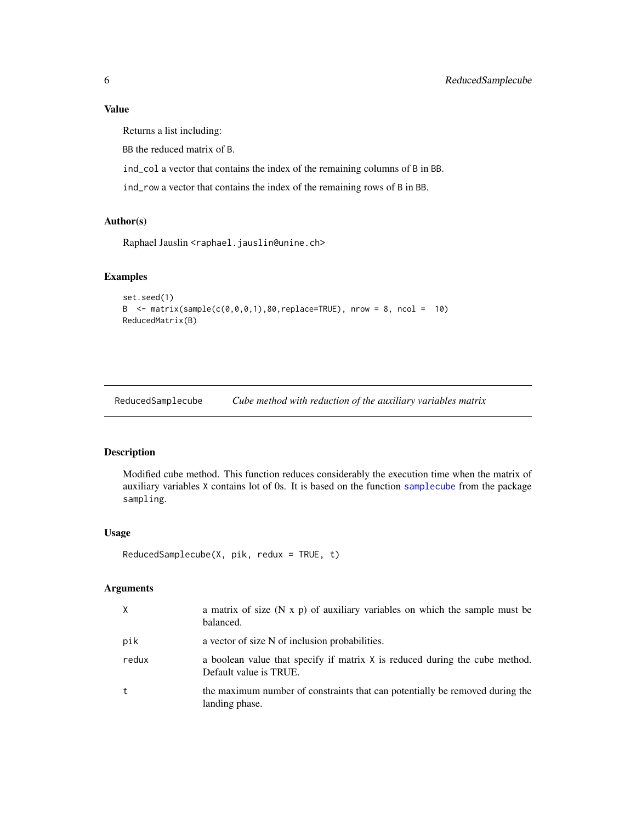#### <span id="page-5-0"></span>Value

Returns a list including:

BB the reduced matrix of B.

ind\_col a vector that contains the index of the remaining columns of B in BB.

ind\_row a vector that contains the index of the remaining rows of B in BB.

#### Author(s)

Raphael Jauslin <raphael.jauslin@unine.ch>

#### Examples

```
set.seed(1)
B \le matrix(sample(c(0,0,0,1),80, replace=TRUE), nrow = 8, ncol = 10)
ReducedMatrix(B)
```
<span id="page-5-1"></span>ReducedSamplecube *Cube method with reduction of the auxiliary variables matrix*

#### Description

Modified cube method. This function reduces considerably the execution time when the matrix of auxiliary variables X contains lot of 0s. It is based on the function [samplecube](#page-0-0) from the package sampling.

#### Usage

```
ReducedSamplecube(X, pik, redux = TRUE, t)
```
#### Arguments

| X     | a matrix of size $(N \times p)$ of auxiliary variables on which the sample must be<br>balanced.       |
|-------|-------------------------------------------------------------------------------------------------------|
| pik   | a vector of size N of inclusion probabilities.                                                        |
| redux | a boolean value that specify if matrix X is reduced during the cube method.<br>Default value is TRUE. |
| t     | the maximum number of constraints that can potentially be removed during the<br>landing phase.        |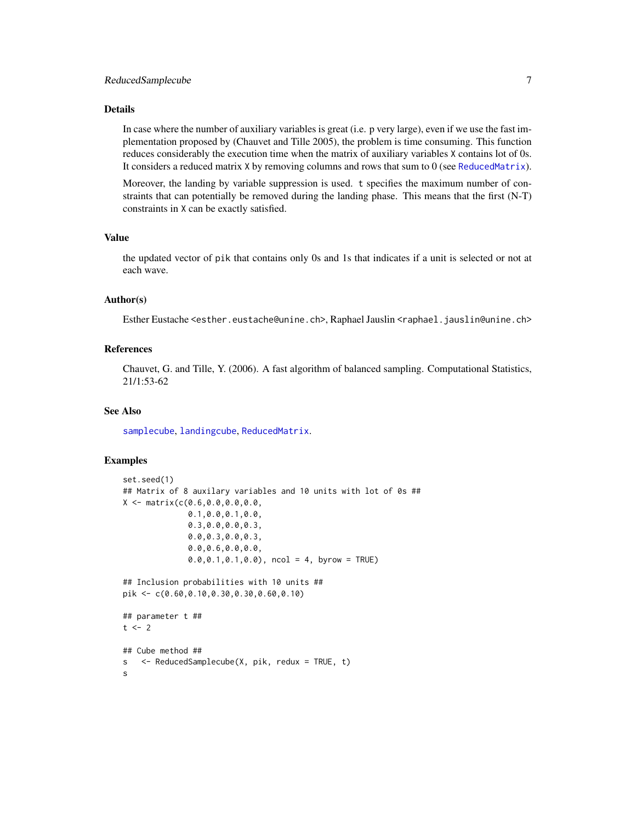#### <span id="page-6-0"></span>ReducedSamplecube 7

#### Details

In case where the number of auxiliary variables is great (i.e. p very large), even if we use the fast implementation proposed by (Chauvet and Tille 2005), the problem is time consuming. This function reduces considerably the execution time when the matrix of auxiliary variables X contains lot of 0s. It considers a reduced matrix X by removing columns and rows that sum to 0 (see [ReducedMatrix](#page-4-1)).

Moreover, the landing by variable suppression is used. t specifies the maximum number of constraints that can potentially be removed during the landing phase. This means that the first (N-T) constraints in X can be exactly satisfied.

#### Value

the updated vector of pik that contains only 0s and 1s that indicates if a unit is selected or not at each wave.

#### Author(s)

Esther Eustache <esther.eustache@unine.ch>, Raphael Jauslin <raphael.jauslin@unine.ch>

#### References

Chauvet, G. and Tille, Y. (2006). A fast algorithm of balanced sampling. Computational Statistics, 21/1:53-62

#### See Also

[samplecube](#page-0-0), [landingcube](#page-0-0), [ReducedMatrix](#page-4-1).

#### Examples

```
set.seed(1)
## Matrix of 8 auxilary variables and 10 units with lot of 0s ##
X <- matrix(c(0.6,0.0,0.0,0.0,
              0.1,0.0,0.1,0.0,
              0.3,0.0,0.0,0.3,
              0.0,0.3,0.0,0.3,
              0.0,0.6,0.0,0.0,
              0.0,0.1,0.1,0.0), ncol = 4, byrow = TRUE)
## Inclusion probabilities with 10 units ##
pik <- c(0.60,0.10,0.30,0.30,0.60,0.10)
## parameter t ##
t < -2## Cube method ##
s <- ReducedSamplecube(X, pik, redux = TRUE, t)
s
```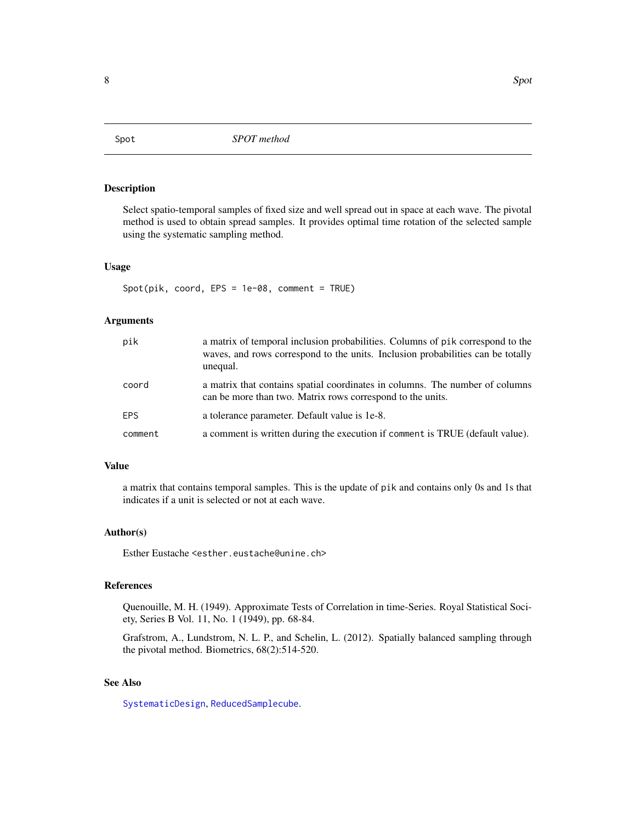<span id="page-7-1"></span><span id="page-7-0"></span>

#### Description

Select spatio-temporal samples of fixed size and well spread out in space at each wave. The pivotal method is used to obtain spread samples. It provides optimal time rotation of the selected sample using the systematic sampling method.

#### Usage

Spot(pik, coord, EPS = 1e-08, comment = TRUE)

#### Arguments

| pik        | a matrix of temporal inclusion probabilities. Columns of pik correspond to the<br>waves, and rows correspond to the units. Inclusion probabilities can be totally<br>unequal. |
|------------|-------------------------------------------------------------------------------------------------------------------------------------------------------------------------------|
| coord      | a matrix that contains spatial coordinates in columns. The number of columns<br>can be more than two. Matrix rows correspond to the units.                                    |
| <b>FPS</b> | a tolerance parameter. Default value is 1e-8.                                                                                                                                 |
| comment    | a comment is written during the execution if comment is TRUE (default value).                                                                                                 |

#### Value

a matrix that contains temporal samples. This is the update of pik and contains only 0s and 1s that indicates if a unit is selected or not at each wave.

#### Author(s)

Esther Eustache <esther.eustache@unine.ch>

#### References

Quenouille, M. H. (1949). Approximate Tests of Correlation in time-Series. Royal Statistical Society, Series B Vol. 11, No. 1 (1949), pp. 68-84.

Grafstrom, A., Lundstrom, N. L. P., and Schelin, L. (2012). Spatially balanced sampling through the pivotal method. Biometrics, 68(2):514-520.

#### See Also

[SystematicDesign](#page-9-1), [ReducedSamplecube](#page-5-1).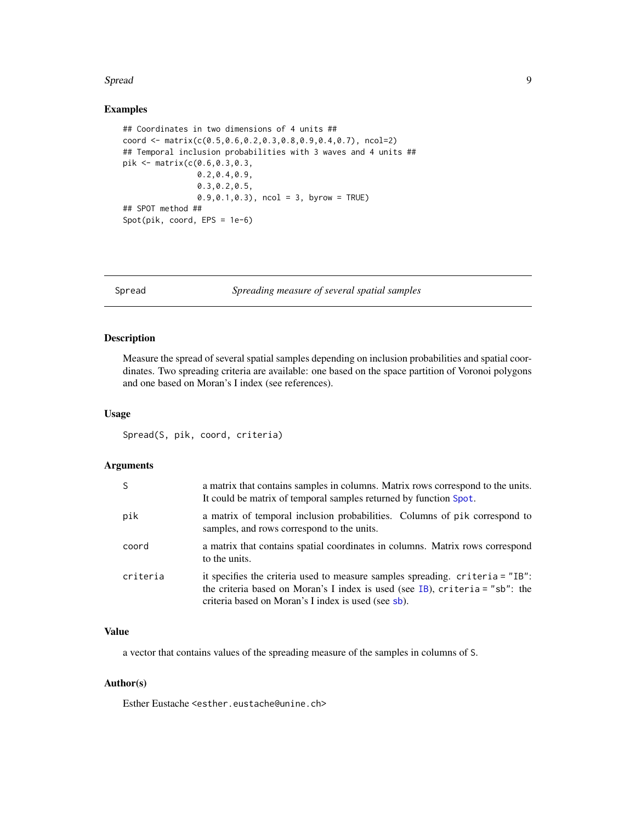#### <span id="page-8-0"></span>Spread 99 and 2008 and 2008 and 2008 and 2008 and 2008 and 2008 and 2008 and 2008 and 2008 and 2008 and 2008 and 2008 and 2008 and 2008 and 2008 and 2008 and 2008 and 2008 and 2008 and 2008 and 2008 and 2008 and 2008 and 2

#### Examples

```
## Coordinates in two dimensions of 4 units ##
coord <- matrix(c(0.5,0.6,0.2,0.3,0.8,0.9,0.4,0.7), ncol=2)
## Temporal inclusion probabilities with 3 waves and 4 units ##
pik <- matrix(c(0.6,0.3,0.3,
                0.2,0.4,0.9,
                0.3,0.2,0.5,
                0.9, 0.1, 0.3, ncol = 3, byrow = TRUE)
## SPOT method ##
Spot(pik, coord, EPS = 1e-6)
```
Spread *Spreading measure of several spatial samples*

#### Description

Measure the spread of several spatial samples depending on inclusion probabilities and spatial coordinates. Two spreading criteria are available: one based on the space partition of Voronoi polygons and one based on Moran's I index (see references).

#### Usage

Spread(S, pik, coord, criteria)

#### Arguments

| S        | a matrix that contains samples in columns. Matrix rows correspond to the units.<br>It could be matrix of temporal samples returned by function Spot.                                                                     |
|----------|--------------------------------------------------------------------------------------------------------------------------------------------------------------------------------------------------------------------------|
| pik      | a matrix of temporal inclusion probabilities. Columns of pik correspond to<br>samples, and rows correspond to the units.                                                                                                 |
| coord    | a matrix that contains spatial coordinates in columns. Matrix rows correspond<br>to the units.                                                                                                                           |
| criteria | it specifies the criteria used to measure samples spreading. criteria = "IB":<br>the criteria based on Moran's I index is used (see IB), criteria = " $sb$ ": the<br>criteria based on Moran's I index is used (see sb). |

#### Value

a vector that contains values of the spreading measure of the samples in columns of S.

#### Author(s)

Esther Eustache <esther.eustache@unine.ch>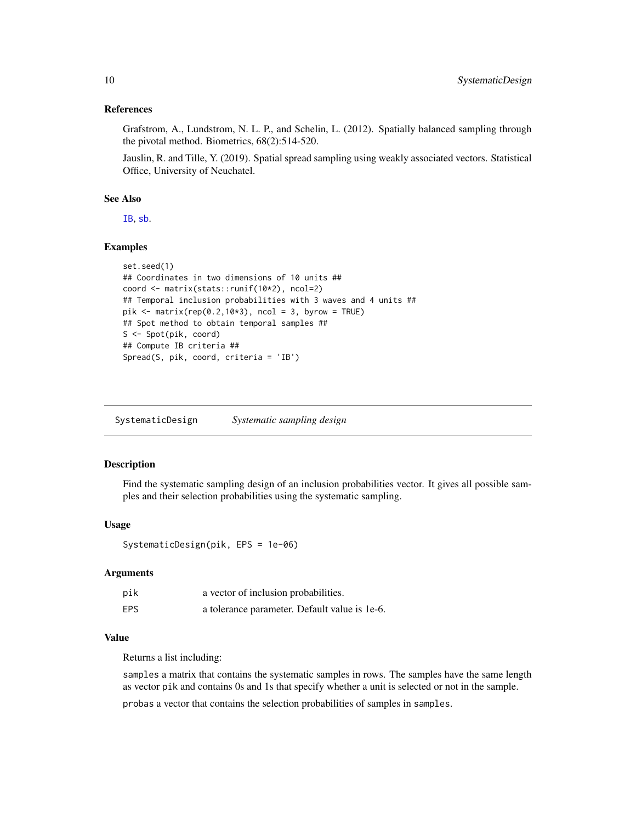#### <span id="page-9-0"></span>References

Grafstrom, A., Lundstrom, N. L. P., and Schelin, L. (2012). Spatially balanced sampling through the pivotal method. Biometrics, 68(2):514-520.

Jauslin, R. and Tille, Y. (2019). Spatial spread sampling using weakly associated vectors. Statistical Office, University of Neuchatel.

#### See Also

[IB](#page-0-0), [sb](#page-0-0).

#### Examples

```
set.seed(1)
## Coordinates in two dimensions of 10 units ##
coord <- matrix(stats::runif(10*2), ncol=2)
## Temporal inclusion probabilities with 3 waves and 4 units ##
pik <- matrix(rep(0.2,10*3), ncol = 3, byrow = TRUE)
## Spot method to obtain temporal samples ##
S <- Spot(pik, coord)
## Compute IB criteria ##
Spread(S, pik, coord, criteria = 'IB')
```
<span id="page-9-1"></span>SystematicDesign *Systematic sampling design*

#### Description

Find the systematic sampling design of an inclusion probabilities vector. It gives all possible samples and their selection probabilities using the systematic sampling.

#### Usage

```
SystematicDesign(pik, EPS = 1e-06)
```
#### Arguments

| pik        | a vector of inclusion probabilities.          |
|------------|-----------------------------------------------|
| <b>EPS</b> | a tolerance parameter. Default value is 1e-6. |

#### Value

Returns a list including:

samples a matrix that contains the systematic samples in rows. The samples have the same length as vector pik and contains 0s and 1s that specify whether a unit is selected or not in the sample.

probas a vector that contains the selection probabilities of samples in samples.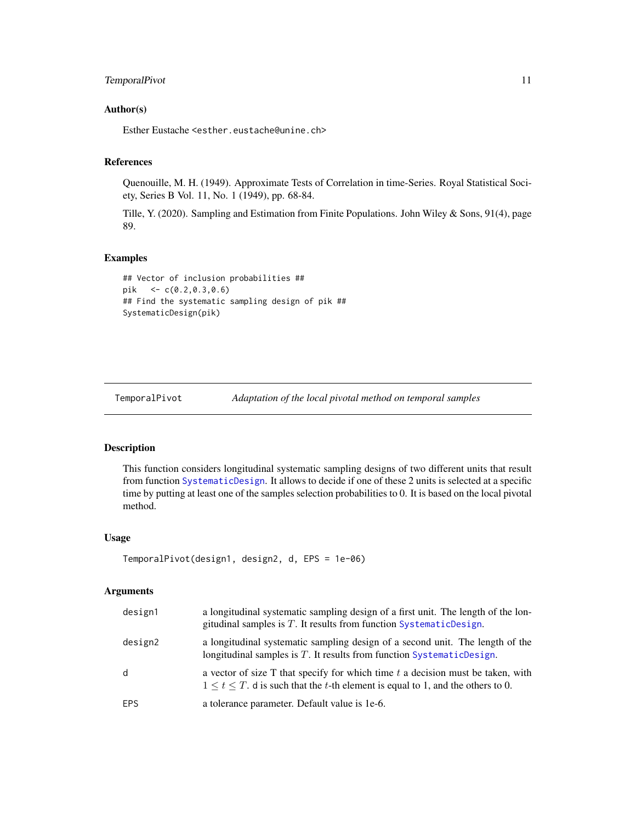#### <span id="page-10-0"></span>TemporalPivot 11

#### Author(s)

Esther Eustache <esther.eustache@unine.ch>

#### References

Quenouille, M. H. (1949). Approximate Tests of Correlation in time-Series. Royal Statistical Society, Series B Vol. 11, No. 1 (1949), pp. 68-84.

Tille, Y. (2020). Sampling and Estimation from Finite Populations. John Wiley & Sons, 91(4), page 89.

#### Examples

```
## Vector of inclusion probabilities ##
pik <- c(0.2,0.3,0.6)
## Find the systematic sampling design of pik ##
SystematicDesign(pik)
```
TemporalPivot *Adaptation of the local pivotal method on temporal samples*

#### Description

This function considers longitudinal systematic sampling designs of two different units that result from function [SystematicDesign](#page-9-1). It allows to decide if one of these 2 units is selected at a specific time by putting at least one of the samples selection probabilities to 0. It is based on the local pivotal method.

#### Usage

```
TemporalPivot(design1, design2, d, EPS = 1e-06)
```
#### Arguments

| design1    | a longitudinal systematic sampling design of a first unit. The length of the lon-<br>gitudinal samples is $T$ . It results from function SystematicDesign.                   |
|------------|------------------------------------------------------------------------------------------------------------------------------------------------------------------------------|
| design2    | a longitudinal systematic sampling design of a second unit. The length of the<br>longitudinal samples is $T$ . It results from function SystematicDesign.                    |
| d          | a vector of size $T$ that specify for which time $t$ a decision must be taken, with<br>$1 \le t \le T$ . d is such that the t-th element is equal to 1, and the others to 0. |
| <b>EPS</b> | a tolerance parameter. Default value is 1e-6.                                                                                                                                |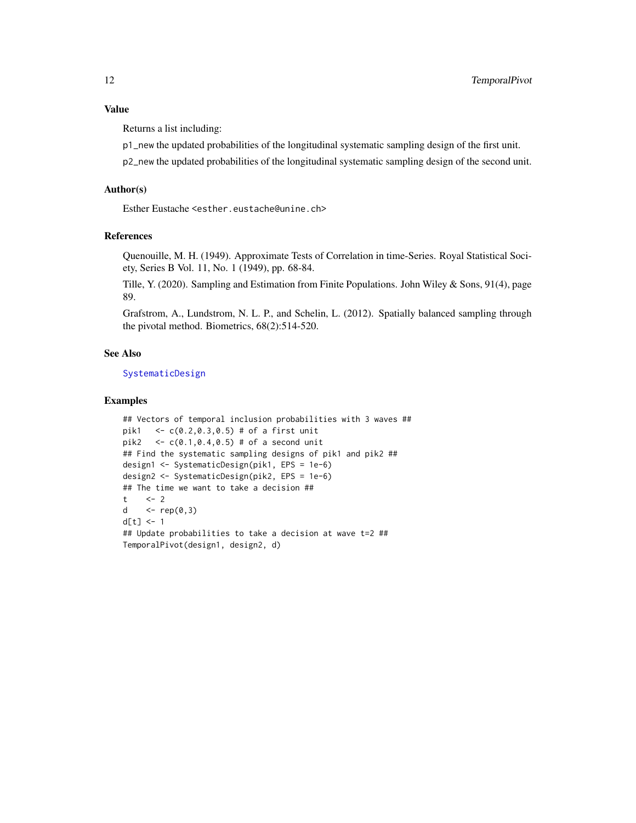<span id="page-11-0"></span>Returns a list including:

p1\_new the updated probabilities of the longitudinal systematic sampling design of the first unit.

p2\_new the updated probabilities of the longitudinal systematic sampling design of the second unit.

#### Author(s)

Esther Eustache <esther.eustache@unine.ch>

#### References

Quenouille, M. H. (1949). Approximate Tests of Correlation in time-Series. Royal Statistical Society, Series B Vol. 11, No. 1 (1949), pp. 68-84.

Tille, Y. (2020). Sampling and Estimation from Finite Populations. John Wiley & Sons, 91(4), page 89.

Grafstrom, A., Lundstrom, N. L. P., and Schelin, L. (2012). Spatially balanced sampling through the pivotal method. Biometrics, 68(2):514-520.

#### See Also

[SystematicDesign](#page-9-1)

#### Examples

```
## Vectors of temporal inclusion probabilities with 3 waves ##
pik1 <- c(0.2,0.3,0.5) # of a first unit
pik2 \leq c(0.1, 0.4, 0.5) # of a second unit
## Find the systematic sampling designs of pik1 and pik2 ##
design1 <- SystematicDesign(pik1, EPS = 1e-6)
design2 <- SystematicDesign(pik2, EPS = 1e-6)
## The time we want to take a decision ##
t \leq -2d \leftarrow \text{rep}(0,3)d[t] < -1## Update probabilities to take a decision at wave t=2 ##
TemporalPivot(design1, design2, d)
```